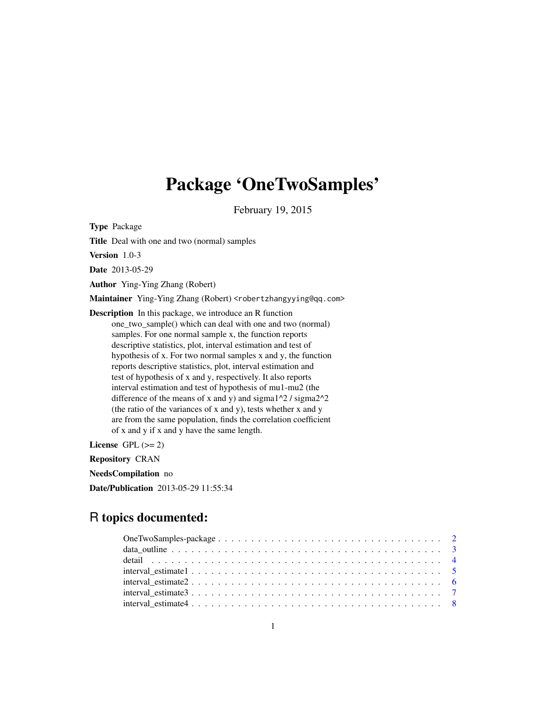# Package 'OneTwoSamples'

February 19, 2015

<span id="page-0-0"></span>Type Package

Title Deal with one and two (normal) samples

Version 1.0-3

Date 2013-05-29

Author Ying-Ying Zhang (Robert)

Maintainer Ying-Ying Zhang (Robert) <robertzhangyying@qq.com>

Description In this package, we introduce an R function one\_two\_sample() which can deal with one and two (normal) samples. For one normal sample x, the function reports descriptive statistics, plot, interval estimation and test of hypothesis of x. For two normal samples x and y, the function reports descriptive statistics, plot, interval estimation and test of hypothesis of x and y, respectively. It also reports interval estimation and test of hypothesis of mu1-mu2 (the difference of the means of x and y) and sigma $1^2$  / sigma $2^2$ (the ratio of the variances of x and y), tests whether x and y are from the same population, finds the correlation coefficient of x and y if x and y have the same length.

License GPL  $(>= 2)$ 

Repository CRAN

NeedsCompilation no

Date/Publication 2013-05-29 11:55:34

# R topics documented: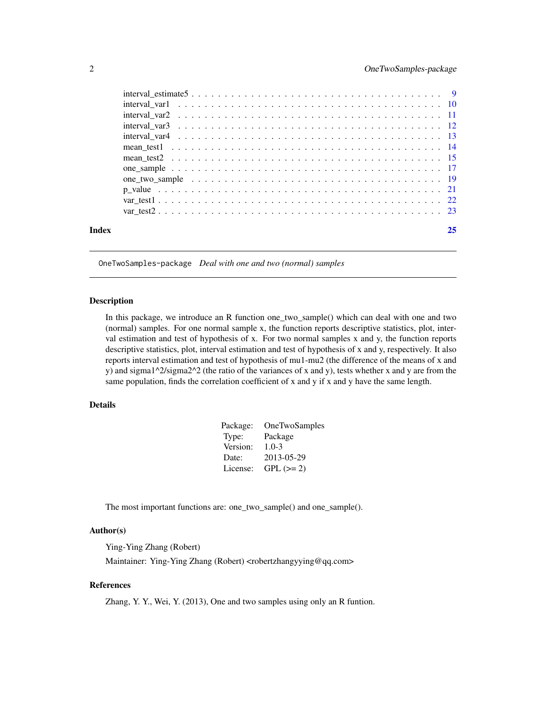<span id="page-1-0"></span>

|       | $interval\_estimate 5$ 9 |    |
|-------|--------------------------|----|
|       |                          |    |
|       |                          |    |
|       |                          |    |
|       |                          |    |
|       |                          |    |
|       |                          |    |
|       |                          |    |
|       |                          |    |
|       |                          |    |
|       |                          |    |
|       |                          |    |
| Index |                          | 25 |

OneTwoSamples-package *Deal with one and two (normal) samples*

#### Description

In this package, we introduce an R function one\_two\_sample() which can deal with one and two (normal) samples. For one normal sample x, the function reports descriptive statistics, plot, interval estimation and test of hypothesis of x. For two normal samples x and y, the function reports descriptive statistics, plot, interval estimation and test of hypothesis of x and y, respectively. It also reports interval estimation and test of hypothesis of mu1-mu2 (the difference of the means of x and y) and sigma1^2/sigma2^2 (the ratio of the variances of x and y), tests whether x and y are from the same population, finds the correlation coefficient of x and y if x and y have the same length.

#### Details

| Package: | <b>OneTwoSamples</b> |
|----------|----------------------|
| Type:    | Package              |
| Version: | $1.0 - 3$            |
| Date:    | 2013-05-29           |
| License: | $GPL (=2)$           |

The most important functions are: one\_two\_sample() and one\_sample().

# Author(s)

Ying-Ying Zhang (Robert)

Maintainer: Ying-Ying Zhang (Robert) <robertzhangyying@qq.com>

#### References

Zhang, Y. Y., Wei, Y. (2013), One and two samples using only an R funtion.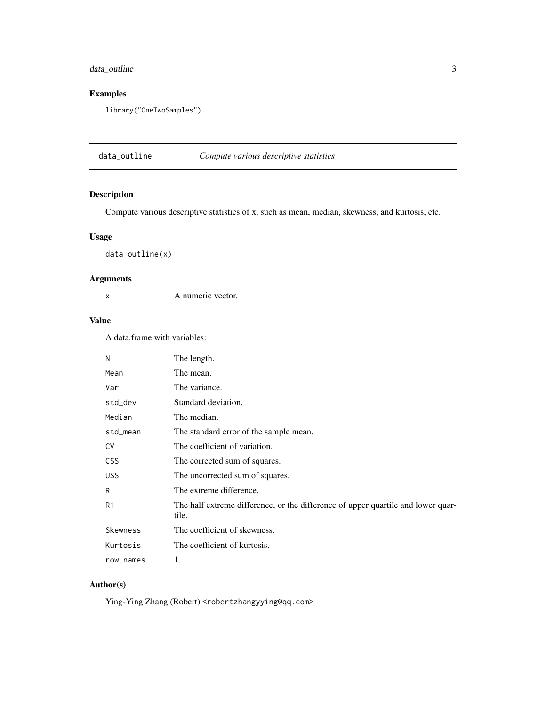# <span id="page-2-0"></span>data\_outline 3

# Examples

library("OneTwoSamples")

data\_outline *Compute various descriptive statistics*

# Description

Compute various descriptive statistics of x, such as mean, median, skewness, and kurtosis, etc.

# Usage

data\_outline(x)

# Arguments

x A numeric vector.

# Value

A data.frame with variables:

| N              | The length.                                                                               |
|----------------|-------------------------------------------------------------------------------------------|
| Mean           | The mean.                                                                                 |
| Var            | The variance.                                                                             |
| std_dev        | Standard deviation.                                                                       |
| Median         | The median.                                                                               |
| std_mean       | The standard error of the sample mean.                                                    |
| <b>CV</b>      | The coefficient of variation.                                                             |
| <b>CSS</b>     | The corrected sum of squares.                                                             |
| <b>USS</b>     | The uncorrected sum of squares.                                                           |
| R              | The extreme difference.                                                                   |
| R <sub>1</sub> | The half extreme difference, or the difference of upper quartile and lower quar-<br>tile. |
| Skewness       | The coefficient of skewness.                                                              |
| Kurtosis       | The coefficient of kurtosis.                                                              |
| row.names      | 1.                                                                                        |

# Author(s)

Ying-Ying Zhang (Robert) <robertzhangyying@qq.com>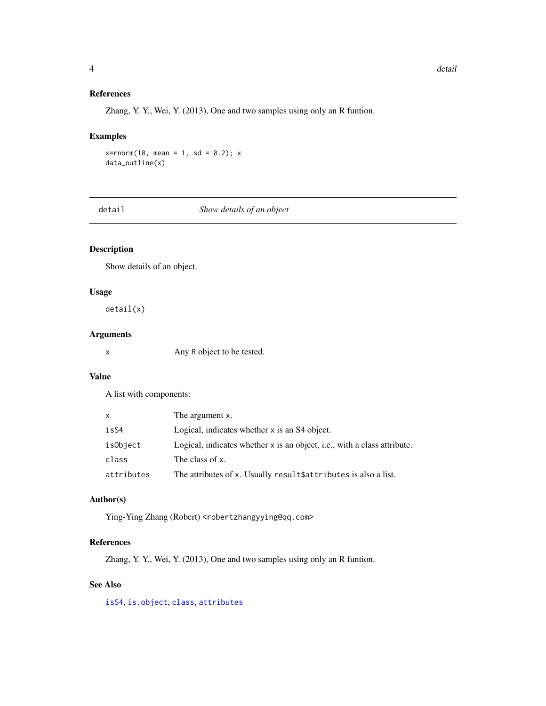#### References

Zhang, Y. Y., Wei, Y. (2013), One and two samples using only an R funtion.

#### Examples

```
x = rnorm(10, mean = 1, sd = 0.2); xdata_outline(x)
```
detail *Show details of an object*

# Description

Show details of an object.

#### Usage

detail(x)

# Arguments

x Any R object to be tested.

#### Value

A list with components:

| x          | The argument x.                                                          |
|------------|--------------------------------------------------------------------------|
| isS4       | Logical, indicates whether x is an S4 object.                            |
| isObject   | Logical, indicates whether x is an object, i.e., with a class attribute. |
| class      | The class of x.                                                          |
| attributes | The attributes of x. Usually result \$attributes is also a list.         |

# Author(s)

Ying-Ying Zhang (Robert) <robertzhangyying@qq.com>

#### References

Zhang, Y. Y., Wei, Y. (2013), One and two samples using only an R funtion.

# See Also

[isS4](#page-0-0), [is.object](#page-0-0), [class](#page-0-0), [attributes](#page-0-0)

<span id="page-3-0"></span>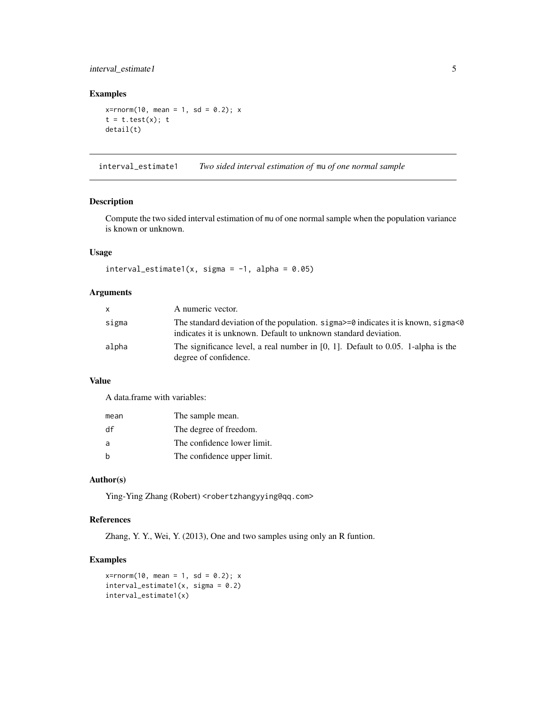# <span id="page-4-0"></span>interval\_estimate1 5

#### Examples

```
x = rnorm(10, mean = 1, sd = 0.2); xt = t.test(x);detail(t)
```
interval\_estimate1 *Two sided interval estimation of* mu *of one normal sample*

#### Description

Compute the two sided interval estimation of mu of one normal sample when the population variance is known or unknown.

# Usage

```
interval\_estimate1(x, sigma = -1, alpha = 0.05)
```
#### Arguments

| x.    | A numeric vector.                                                                                                                                               |
|-------|-----------------------------------------------------------------------------------------------------------------------------------------------------------------|
| sigma | The standard deviation of the population. $sigma \ge 0$ indicates it is known, sigma $\le 0$<br>indicates it is unknown. Default to unknown standard deviation. |
| alpha | The significance level, a real number in $[0, 1]$ . Default to 0.05. 1-alpha is the<br>degree of confidence.                                                    |

#### Value

A data.frame with variables:

| mean | The sample mean.            |
|------|-----------------------------|
| df   | The degree of freedom.      |
| a    | The confidence lower limit. |
| b    | The confidence upper limit. |

# Author(s)

Ying-Ying Zhang (Robert) <robertzhangyying@qq.com>

# References

Zhang, Y. Y., Wei, Y. (2013), One and two samples using only an R funtion.

```
x = rnorm(10, mean = 1, sd = 0.2); xinterval\_estimate1(x, sigma = 0.2)interval_estimate1(x)
```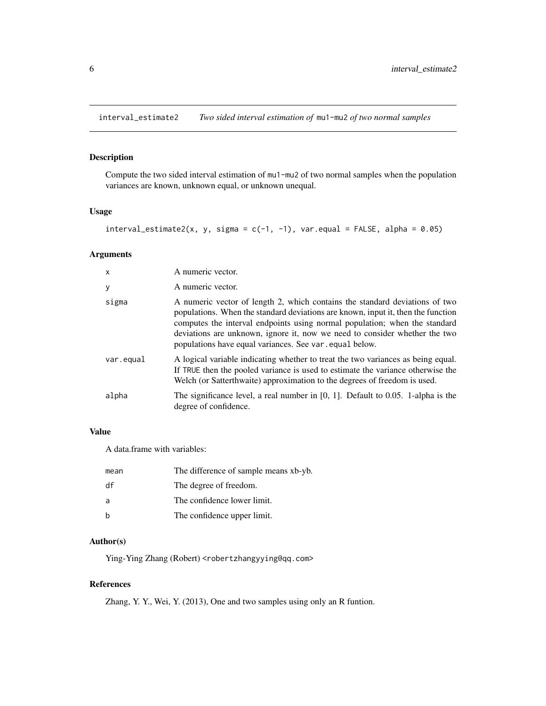<span id="page-5-0"></span>interval\_estimate2 *Two sided interval estimation of* mu1-mu2 *of two normal samples*

# Description

Compute the two sided interval estimation of mu1-mu2 of two normal samples when the population variances are known, unknown equal, or unknown unequal.

# Usage

```
interval\_estimate2(x, y, sigma = c(-1, -1), var.equals = FALSE, alpha = 0.05)
```
# Arguments

| $\times$  | A numeric vector.                                                                                                                                                                                                                                                                                                                                                                      |
|-----------|----------------------------------------------------------------------------------------------------------------------------------------------------------------------------------------------------------------------------------------------------------------------------------------------------------------------------------------------------------------------------------------|
| У         | A numeric vector.                                                                                                                                                                                                                                                                                                                                                                      |
| sigma     | A numeric vector of length 2, which contains the standard deviations of two<br>populations. When the standard deviations are known, input it, then the function<br>computes the interval endpoints using normal population; when the standard<br>deviations are unknown, ignore it, now we need to consider whether the two<br>populations have equal variances. See var, equal below. |
| var.equal | A logical variable indicating whether to treat the two variances as being equal.<br>If TRUE then the pooled variance is used to estimate the variance otherwise the<br>Welch (or Satterthwaite) approximation to the degrees of freedom is used.                                                                                                                                       |
| alpha     | The significance level, a real number in $[0, 1]$ . Default to 0.05. 1-alpha is the<br>degree of confidence.                                                                                                                                                                                                                                                                           |

# Value

A data.frame with variables:

| mean | The difference of sample means xb-yb. |
|------|---------------------------------------|
| df   | The degree of freedom.                |
| a    | The confidence lower limit.           |
| b    | The confidence upper limit.           |

#### Author(s)

Ying-Ying Zhang (Robert) <robertzhangyying@qq.com>

# References

Zhang, Y. Y., Wei, Y. (2013), One and two samples using only an R funtion.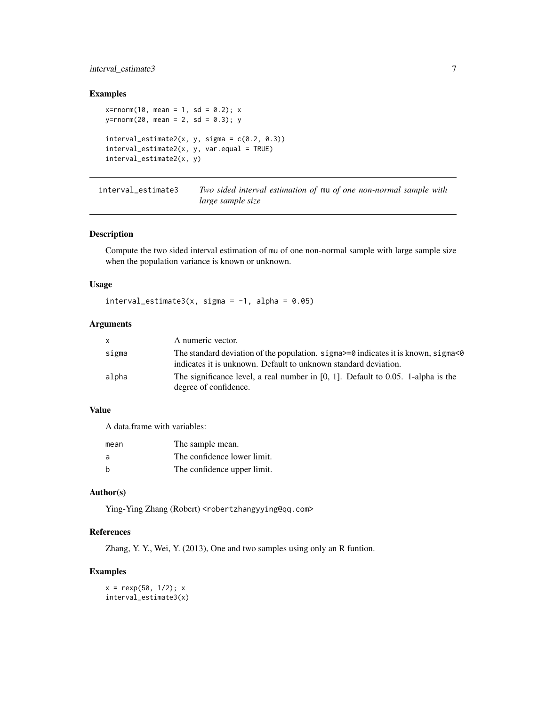# <span id="page-6-0"></span>interval\_estimate3 7

# Examples

```
x = rnorm(10, mean = 1, sd = 0.2); xy=rnorm(20, mean = 2, sd = 0.3); y
interval\_estimate2(x, y, sigma = c(0.2, 0.3))interval_estimate2(x, y, var.equal = TRUE)
interval_estimate2(x, y)
```
interval\_estimate3 *Two sided interval estimation of* mu *of one non-normal sample with large sample size*

#### Description

Compute the two sided interval estimation of mu of one non-normal sample with large sample size when the population variance is known or unknown.

#### Usage

interval\_estimate3(x, sigma =  $-1$ , alpha = 0.05)

#### Arguments

| X.    | A numeric vector.                                                                                                                                               |
|-------|-----------------------------------------------------------------------------------------------------------------------------------------------------------------|
| sigma | The standard deviation of the population. $signa \ge 0$ indicates it is known, $signa \le 0$<br>indicates it is unknown. Default to unknown standard deviation. |
| alpha | The significance level, a real number in $[0, 1]$ . Default to 0.05. 1-alpha is the<br>degree of confidence.                                                    |

#### Value

A data.frame with variables:

| mean | The sample mean.            |
|------|-----------------------------|
| a    | The confidence lower limit. |
| h    | The confidence upper limit. |

# Author(s)

Ying-Ying Zhang (Robert) <robertzhangyying@qq.com>

#### References

Zhang, Y. Y., Wei, Y. (2013), One and two samples using only an R funtion.

```
x = \text{resp}(50, 1/2); xinterval_estimate3(x)
```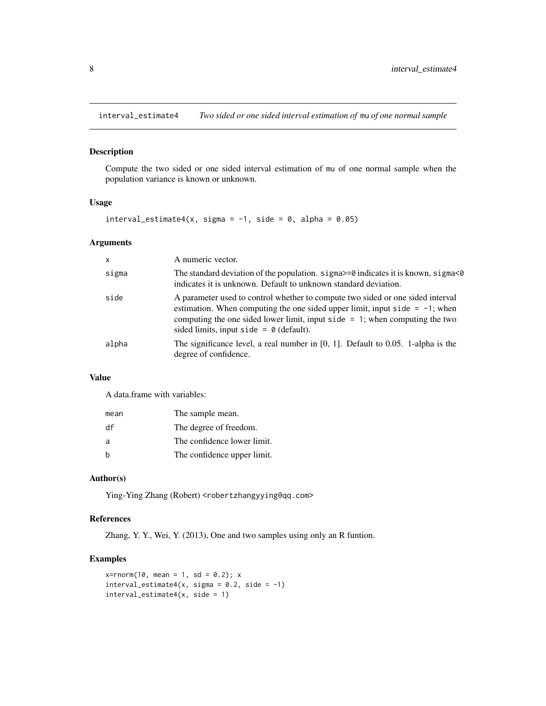<span id="page-7-0"></span>interval\_estimate4 *Two sided or one sided interval estimation of* mu *of one normal sample*

# Description

Compute the two sided or one sided interval estimation of mu of one normal sample when the population variance is known or unknown.

#### Usage

```
interval_estimate4(x, sigma = -1, side = 0, alpha = 0.05)
```
#### Arguments

| $\mathsf{x}$ | A numeric vector.                                                                                                                                                                                                                                                                                    |
|--------------|------------------------------------------------------------------------------------------------------------------------------------------------------------------------------------------------------------------------------------------------------------------------------------------------------|
| sigma        | The standard deviation of the population. sigma>=0 indicates it is known, sigma<0<br>indicates it is unknown. Default to unknown standard deviation.                                                                                                                                                 |
| side         | A parameter used to control whether to compute two sided or one sided interval<br>estimation. When computing the one sided upper limit, input side $= -1$ ; when<br>computing the one sided lower limit, input side $= 1$ ; when computing the two<br>sided limits, input side = $\theta$ (default). |
| alpha        | The significance level, a real number in $[0, 1]$ . Default to 0.05. 1-alpha is the<br>degree of confidence.                                                                                                                                                                                         |

# Value

A data.frame with variables:

| mean | The sample mean.            |
|------|-----------------------------|
| df   | The degree of freedom.      |
| a    | The confidence lower limit. |
| h    | The confidence upper limit. |

# Author(s)

Ying-Ying Zhang (Robert) <robertzhangyying@qq.com>

# References

Zhang, Y. Y., Wei, Y. (2013), One and two samples using only an R funtion.

```
x = rnorm(10, mean = 1, sd = 0.2); xinterval_estimate4(x, sigma = 0.2, side = -1)
interval\_estimate4(x, side = 1)
```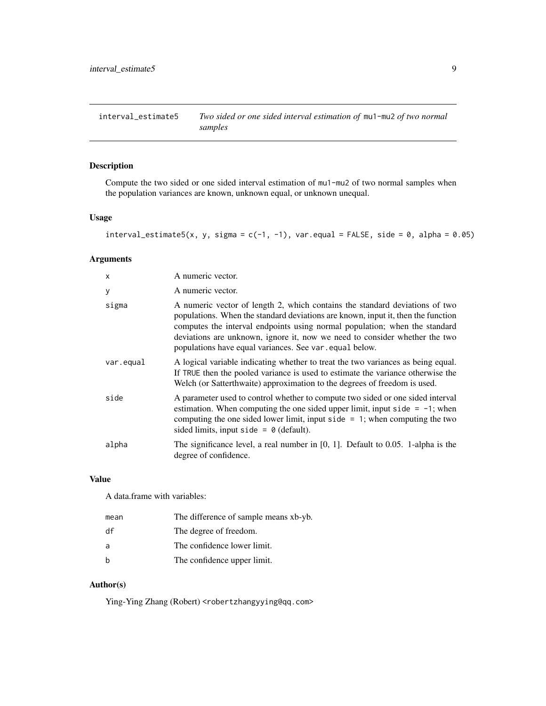<span id="page-8-0"></span>interval\_estimate5 *Two sided or one sided interval estimation of* mu1-mu2 *of two normal samples*

# Description

Compute the two sided or one sided interval estimation of mu1-mu2 of two normal samples when the population variances are known, unknown equal, or unknown unequal.

#### Usage

```
interval_estimate5(x, y, sigma = c(-1, -1), var.equal = FALSE, side = 0, alpha = 0.05)
```
# Arguments

| $\times$  | A numeric vector.                                                                                                                                                                                                                                                                                                                                                                     |
|-----------|---------------------------------------------------------------------------------------------------------------------------------------------------------------------------------------------------------------------------------------------------------------------------------------------------------------------------------------------------------------------------------------|
| У         | A numeric vector.                                                                                                                                                                                                                                                                                                                                                                     |
| sigma     | A numeric vector of length 2, which contains the standard deviations of two<br>populations. When the standard deviations are known, input it, then the function<br>computes the interval endpoints using normal population; when the standard<br>deviations are unknown, ignore it, now we need to consider whether the two<br>populations have equal variances. See var equal below. |
| var.equal | A logical variable indicating whether to treat the two variances as being equal.<br>If TRUE then the pooled variance is used to estimate the variance otherwise the<br>Welch (or Satterthwaite) approximation to the degrees of freedom is used.                                                                                                                                      |
| side      | A parameter used to control whether to compute two sided or one sided interval<br>estimation. When computing the one sided upper limit, input side $= -1$ ; when<br>computing the one sided lower limit, input side $= 1$ ; when computing the two<br>sided limits, input side = $\theta$ (default).                                                                                  |
| alpha     | The significance level, a real number in $[0, 1]$ . Default to 0.05. 1-alpha is the<br>degree of confidence.                                                                                                                                                                                                                                                                          |

#### Value

A data.frame with variables:

| mean | The difference of sample means xb-yb. |
|------|---------------------------------------|
| df   | The degree of freedom.                |
| a    | The confidence lower limit.           |
| b    | The confidence upper limit.           |

# Author(s)

Ying-Ying Zhang (Robert) <robertzhangyying@qq.com>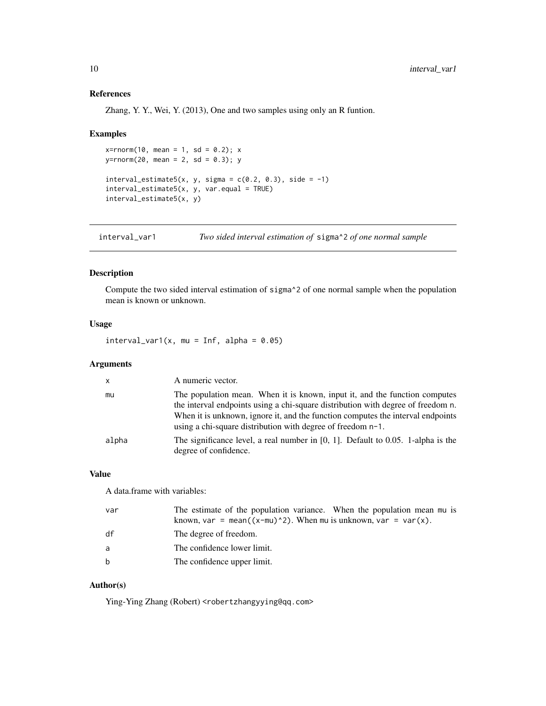# References

Zhang, Y. Y., Wei, Y. (2013), One and two samples using only an R funtion.

#### Examples

```
x = rnorm(10, mean = 1, sd = 0.2); xy=rnorm(20, mean = 2, sd = 0.3); y
interval\_estimate5(x, y, sigma = c(0.2, 0.3), side = -1)interval_estimate5(x, y, var.equal = TRUE)
interval_estimate5(x, y)
```
interval\_var1 *Two sided interval estimation of* sigma^2 *of one normal sample*

# Description

Compute the two sided interval estimation of sigma^2 of one normal sample when the population mean is known or unknown.

# Usage

 $interval\_var1(x, mu = Inf, alpha = 0.05)$ 

#### Arguments

| $\mathsf{x}$ | A numeric vector.                                                                                                                                                                                                                                                                                                |
|--------------|------------------------------------------------------------------------------------------------------------------------------------------------------------------------------------------------------------------------------------------------------------------------------------------------------------------|
| mu           | The population mean. When it is known, input it, and the function computes<br>the interval endpoints using a chi-square distribution with degree of freedom n.<br>When it is unknown, ignore it, and the function computes the interval endpoints<br>using a chi-square distribution with degree of freedom n-1. |
| alpha        | The significance level, a real number in $[0, 1]$ . Default to 0.05. 1-alpha is the<br>degree of confidence.                                                                                                                                                                                                     |

#### Value

A data.frame with variables:

| var | The estimate of the population variance. When the population mean mu is<br>known, var = mean( $(x-mu)^2$ ). When mu is unknown, var = var(x). |
|-----|-----------------------------------------------------------------------------------------------------------------------------------------------|
| df  | The degree of freedom.                                                                                                                        |
| a   | The confidence lower limit.                                                                                                                   |
| b   | The confidence upper limit.                                                                                                                   |

#### Author(s)

Ying-Ying Zhang (Robert) <robertzhangyying@qq.com>

<span id="page-9-0"></span>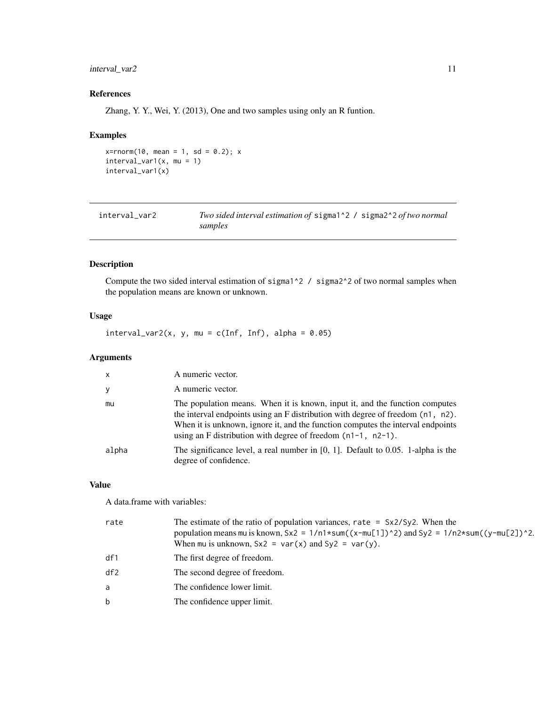# <span id="page-10-0"></span>interval\_var2 11

# References

Zhang, Y. Y., Wei, Y. (2013), One and two samples using only an R funtion.

# Examples

```
x = rnorm(10, mean = 1, sd = 0.2); xinterval_var1(x, mu = 1)
interval_var1(x)
```

| interval_var2 | Two sided interval estimation of sigmal <sup>12</sup> / sigmal <sup>22</sup> of two normal |
|---------------|--------------------------------------------------------------------------------------------|
|               | samples                                                                                    |

# Description

Compute the two sided interval estimation of sigma1^2 / sigma2^2 of two normal samples when the population means are known or unknown.

# Usage

 $interval\_var2(x, y, mu = c(Inf, Inf), alpha = 0.05)$ 

# Arguments

| x     | A numeric vector.                                                                                                                                                                                                                                                                                                    |
|-------|----------------------------------------------------------------------------------------------------------------------------------------------------------------------------------------------------------------------------------------------------------------------------------------------------------------------|
| у     | A numeric vector.                                                                                                                                                                                                                                                                                                    |
| mu    | The population means. When it is known, input it, and the function computes<br>the interval endpoints using an F distribution with degree of freedom (n1, n2).<br>When it is unknown, ignore it, and the function computes the interval endpoints<br>using an F distribution with degree of freedom $(n1-1, n2-1)$ . |
| alpha | The significance level, a real number in $[0, 1]$ . Default to 0.05. 1-alpha is the<br>degree of confidence.                                                                                                                                                                                                         |

#### Value

A data.frame with variables:

| rate | The estimate of the ratio of population variances, rate $=$ $Sx2/Sy2$ . When the<br>population means mu is known, $Sx2 = 1/n1*sum((x-mu[1])^2)$ and $Sy2 = 1/n2*sum((y-mu[2])^2)$ .<br>When mu is unknown, $Sx2 = var(x)$ and $Sy2 = var(y)$ . |
|------|------------------------------------------------------------------------------------------------------------------------------------------------------------------------------------------------------------------------------------------------|
| df1  | The first degree of freedom.                                                                                                                                                                                                                   |
| df2  | The second degree of freedom.                                                                                                                                                                                                                  |
| a    | The confidence lower limit.                                                                                                                                                                                                                    |
| b    | The confidence upper limit.                                                                                                                                                                                                                    |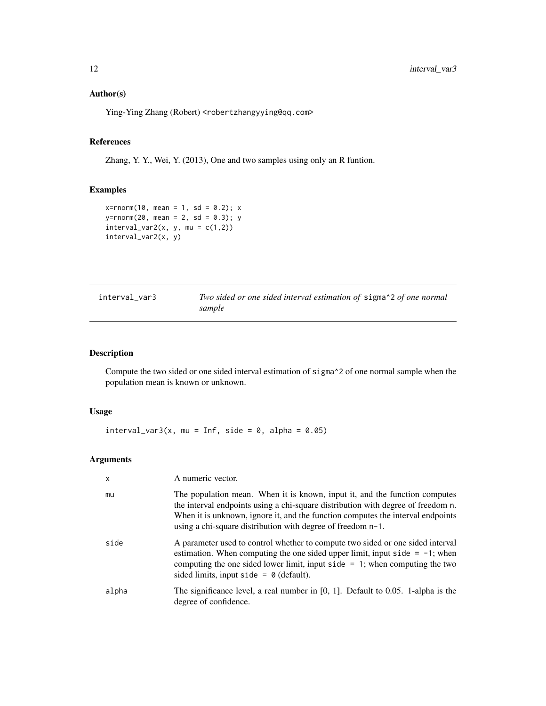# <span id="page-11-0"></span>Author(s)

Ying-Ying Zhang (Robert) <robertzhangyying@qq.com>

#### References

Zhang, Y. Y., Wei, Y. (2013), One and two samples using only an R funtion.

# Examples

```
x = rnorm(10, mean = 1, sd = 0.2); xy=rnorm(20, mean = 2, sd = 0.3); y
interval\_var2(x, y, mu = c(1,2))interval_var2(x, y)
```

| interval var3 | Two sided or one sided interval estimation of sigma^2 of one normal |
|---------------|---------------------------------------------------------------------|
|               | sample                                                              |

# Description

Compute the two sided or one sided interval estimation of sigma^2 of one normal sample when the population mean is known or unknown.

# Usage

 $interval_{var3}(x, mu = Inf, side = 0, alpha = 0.05)$ 

# Arguments

| $\mathsf{x}$ | A numeric vector.                                                                                                                                                                                                                                                                                                |
|--------------|------------------------------------------------------------------------------------------------------------------------------------------------------------------------------------------------------------------------------------------------------------------------------------------------------------------|
| mu           | The population mean. When it is known, input it, and the function computes<br>the interval endpoints using a chi-square distribution with degree of freedom n.<br>When it is unknown, ignore it, and the function computes the interval endpoints<br>using a chi-square distribution with degree of freedom n-1. |
| side         | A parameter used to control whether to compute two sided or one sided interval<br>estimation. When computing the one sided upper limit, input side $= -1$ ; when<br>computing the one sided lower limit, input side $= 1$ ; when computing the two<br>sided limits, input side = $\theta$ (default).             |
| alpha        | The significance level, a real number in $[0, 1]$ . Default to 0.05. 1-alpha is the<br>degree of confidence.                                                                                                                                                                                                     |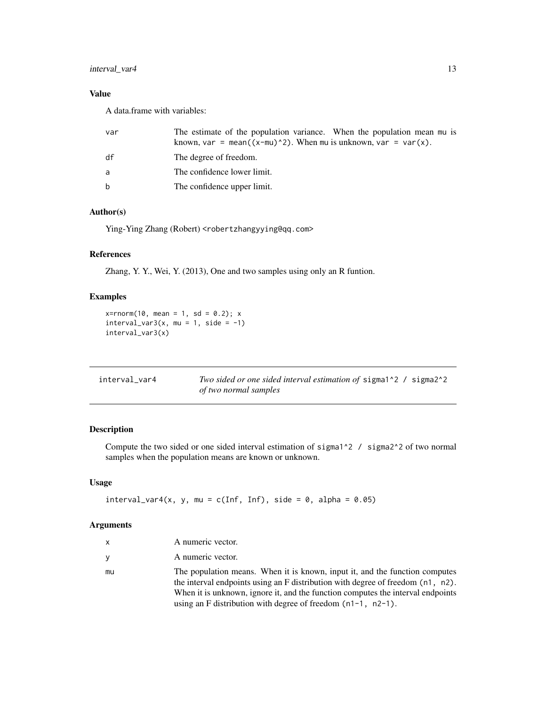# <span id="page-12-0"></span>interval\_var4 13

# Value

A data.frame with variables:

| var | The estimate of the population variance. When the population mean mu is<br>known, var = mean( $(x-mu)^2$ ). When mu is unknown, var = var(x). |
|-----|-----------------------------------------------------------------------------------------------------------------------------------------------|
| df  | The degree of freedom.                                                                                                                        |
| a   | The confidence lower limit.                                                                                                                   |
| b   | The confidence upper limit.                                                                                                                   |

#### Author(s)

Ying-Ying Zhang (Robert) <robertzhangyying@qq.com>

# References

Zhang, Y. Y., Wei, Y. (2013), One and two samples using only an R funtion.

# Examples

 $x = r \cdot 10$ , mean = 1, sd = 0.2); x  $interval\_var3(x, mu = 1, side = -1)$ interval\_var3(x)

| interval_var4 | <i>Two sided or one sided interval estimation of sigmal</i> <sup>2</sup> / sigma <sup>2</sup> <sup>2</sup> |
|---------------|------------------------------------------------------------------------------------------------------------|
|               | of two normal samples                                                                                      |

# Description

Compute the two sided or one sided interval estimation of sigma<sup> $1^2$ </sup> / sigma<sup>2 $^2$ </sup> of two normal samples when the population means are known or unknown.

#### Usage

```
interval\_var4(x, y, mu = c(Inf, Inf), side = 0, alpha = 0.05)
```
# Arguments

| x  | A numeric vector.                                                                                                                                              |
|----|----------------------------------------------------------------------------------------------------------------------------------------------------------------|
| v  | A numeric vector.                                                                                                                                              |
| mu | The population means. When it is known, input it, and the function computes<br>the interval endpoints using an F distribution with degree of freedom (n1, n2). |
|    | When it is unknown, ignore it, and the function computes the interval endpoints                                                                                |
|    | using an F distribution with degree of freedom $(n1-1, n2-1)$ .                                                                                                |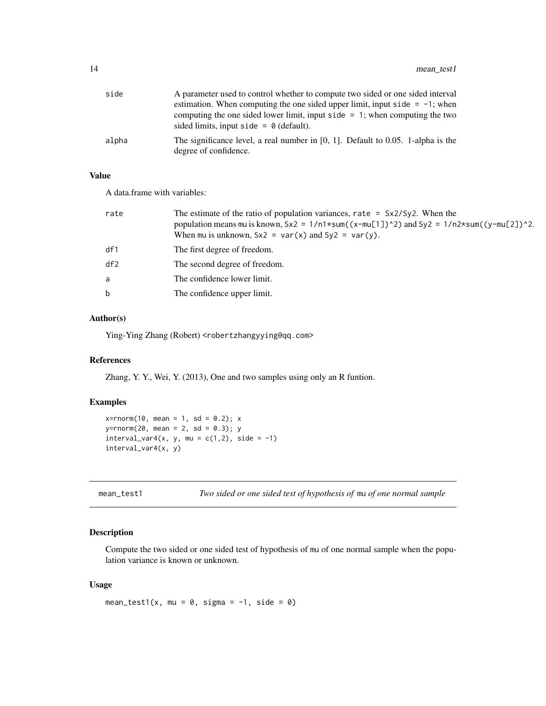<span id="page-13-0"></span>

| side  | A parameter used to control whether to compute two sided or one sided interval                               |
|-------|--------------------------------------------------------------------------------------------------------------|
|       | estimation. When computing the one sided upper limit, input side $= -1$ ; when                               |
|       | computing the one sided lower limit, input side $= 1$ ; when computing the two                               |
|       | sided limits, input side = $\theta$ (default).                                                               |
| alpha | The significance level, a real number in $[0, 1]$ . Default to 0.05. 1-alpha is the<br>degree of confidence. |

#### Value

A data.frame with variables:

| rate | The estimate of the ratio of population variances, rate = $Sx2/Sy2$ . When the<br>population means mu is known, $Sx2 = 1/n1*sum((x-mu[1])^2)$ and $Sy2 = 1/n2*sum((y-mu[2])^2)$ .<br>When mu is unknown, $Sx2 = var(x)$ and $Sy2 = var(y)$ . |
|------|----------------------------------------------------------------------------------------------------------------------------------------------------------------------------------------------------------------------------------------------|
| df1  | The first degree of freedom.                                                                                                                                                                                                                 |
| df2  | The second degree of freedom.                                                                                                                                                                                                                |
| a    | The confidence lower limit.                                                                                                                                                                                                                  |
| b.   | The confidence upper limit.                                                                                                                                                                                                                  |
|      |                                                                                                                                                                                                                                              |

# Author(s)

Ying-Ying Zhang (Robert) <robertzhangyying@qq.com>

#### References

Zhang, Y. Y., Wei, Y. (2013), One and two samples using only an R funtion.

# Examples

```
x = rnorm(10, mean = 1, sd = 0.2); xy=rnorm(20, mean = 2, sd = 0.3); y
interval\_var4(x, y, mu = c(1,2), side = -1)interval_var4(x, y)
```
mean\_test1 *Two sided or one sided test of hypothesis of* mu *of one normal sample*

# Description

Compute the two sided or one sided test of hypothesis of mu of one normal sample when the population variance is known or unknown.

#### Usage

```
mean_test1(x, mu = 0, sigma = -1, side = 0)
```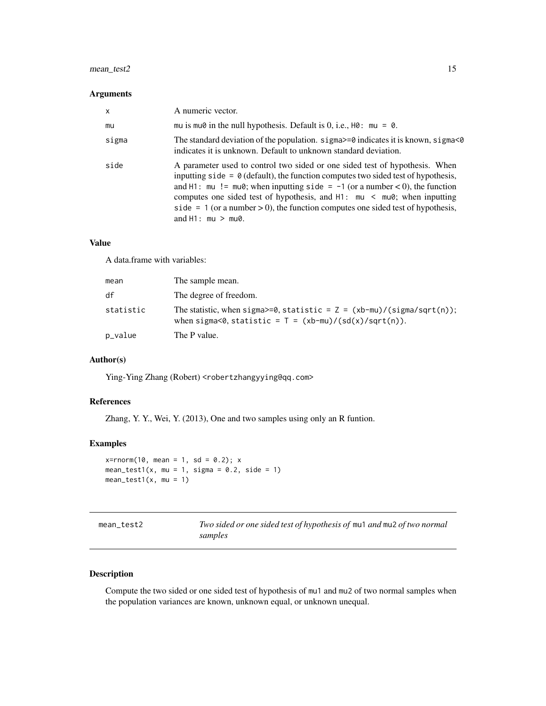# <span id="page-14-0"></span>mean\_test2 15

#### Arguments

| X     | A numeric vector.                                                                                                                                                                                                                                                                                                                                                                                                                                             |
|-------|---------------------------------------------------------------------------------------------------------------------------------------------------------------------------------------------------------------------------------------------------------------------------------------------------------------------------------------------------------------------------------------------------------------------------------------------------------------|
| mu    | mu is mu $\theta$ in the null hypothesis. Default is 0, i.e., H $\theta$ : mu = $\theta$ .                                                                                                                                                                                                                                                                                                                                                                    |
| sigma | The standard deviation of the population. $sigma \ge 0$ indicates it is known, $sigma \le 0$<br>indicates it is unknown. Default to unknown standard deviation.                                                                                                                                                                                                                                                                                               |
| side  | A parameter used to control two sided or one sided test of hypothesis. When<br>inputting side = $\theta$ (default), the function computes two sided test of hypothesis,<br>and H1: mu != mu0; when inputting side = $-1$ (or a number < 0), the function<br>computes one sided test of hypothesis, and $H1:$ mu $\leq$ mu $\theta$ ; when inputting<br>side = 1 (or a number > 0), the function computes one sided test of hypothesis,<br>and $H1:mu > mu0$ . |

#### Value

A data.frame with variables:

| mean      | The sample mean.                                                                                                                      |
|-----------|---------------------------------------------------------------------------------------------------------------------------------------|
| df        | The degree of freedom.                                                                                                                |
| statistic | The statistic, when sigma>=0, statistic = $Z = (xb-mu)/(sigma/sqrt(n));$<br>when sigma<0, statistic = $T = (xb-mu)/(sd(x)/sqrt(n))$ . |
| p_value   | The P value.                                                                                                                          |

# Author(s)

Ying-Ying Zhang (Robert) <robertzhangyying@qq.com>

# References

Zhang, Y. Y., Wei, Y. (2013), One and two samples using only an R funtion.

#### Examples

```
x=rnorm(10, mean = 1, sd = 0.2); x
mean_test1(x, mu = 1, sigma = 0.2, side = 1)
mean_test1(x, mu = 1)
```

| mean test2 |
|------------|
|            |

mean\_test2 *Two sided or one sided test of hypothesis of* mu1 *and* mu2 *of two normal samples*

#### Description

Compute the two sided or one sided test of hypothesis of mu1 and mu2 of two normal samples when the population variances are known, unknown equal, or unknown unequal.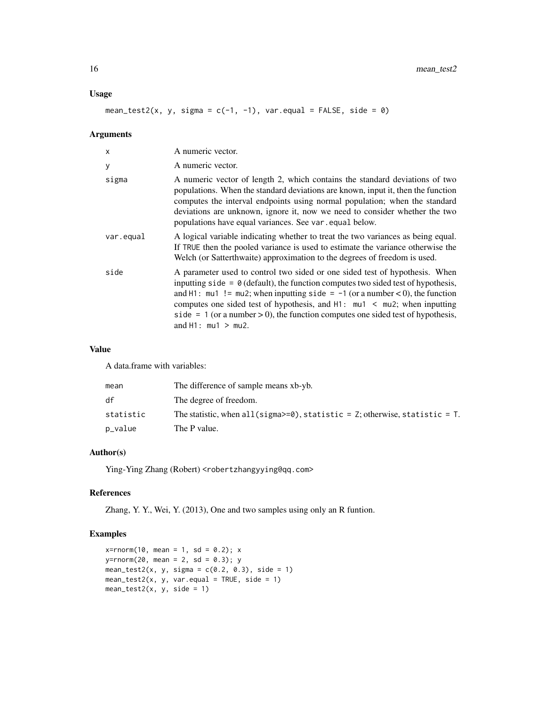#### Usage

mean\_test2(x, y, sigma =  $c(-1, -1)$ , var.equal = FALSE, side = 0)

# Arguments

| $\mathsf{x}$ | A numeric vector.                                                                                                                                                                                                                                                                                                                                                                                                                                             |
|--------------|---------------------------------------------------------------------------------------------------------------------------------------------------------------------------------------------------------------------------------------------------------------------------------------------------------------------------------------------------------------------------------------------------------------------------------------------------------------|
| У            | A numeric vector.                                                                                                                                                                                                                                                                                                                                                                                                                                             |
| sigma        | A numeric vector of length 2, which contains the standard deviations of two<br>populations. When the standard deviations are known, input it, then the function<br>computes the interval endpoints using normal population; when the standard<br>deviations are unknown, ignore it, now we need to consider whether the two<br>populations have equal variances. See var equal below.                                                                         |
| var.equal    | A logical variable indicating whether to treat the two variances as being equal.<br>If TRUE then the pooled variance is used to estimate the variance otherwise the<br>Welch (or Satterthwaite) approximation to the degrees of freedom is used.                                                                                                                                                                                                              |
| side         | A parameter used to control two sided or one sided test of hypothesis. When<br>inputting side = $\theta$ (default), the function computes two sided test of hypothesis,<br>and H1: $mu1$ ! = $mu2$ ; when inputting side = -1 (or a number < 0), the function<br>computes one sided test of hypothesis, and $H1:$ mul $\leq$ mu2; when inputting<br>side = 1 (or a number > 0), the function computes one sided test of hypothesis,<br>and $H1:$ mu1 $>$ mu2. |

# Value

A data.frame with variables:

| mean      | The difference of sample means xb-yb.                                                                    |
|-----------|----------------------------------------------------------------------------------------------------------|
| df        | The degree of freedom.                                                                                   |
| statistic | The statistic, when all (sigma>=0), statistic = $\overline{z}$ ; otherwise, statistic = $\overline{z}$ . |
| p_value   | The P value.                                                                                             |

#### Author(s)

Ying-Ying Zhang (Robert) <robertzhangyying@qq.com>

# References

Zhang, Y. Y., Wei, Y. (2013), One and two samples using only an R funtion.

```
x = r \cdot 10, mean = 1, sd = 0.2); x
y=rnorm(20, mean = 2, sd = 0.3); y
mean_test2(x, y, sigma = c(0.2, 0.3), side = 1)
mean_test2(x, y, var.equals = TRUE, side = 1)mean_test2(x, y, side = 1)
```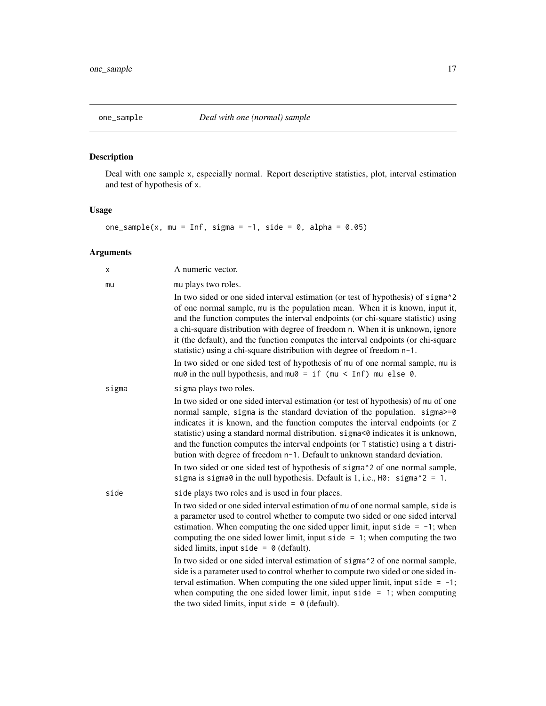# <span id="page-16-1"></span><span id="page-16-0"></span>Description

Deal with one sample x, especially normal. Report descriptive statistics, plot, interval estimation and test of hypothesis of x.

# Usage

```
one_sample(x, mu = Inf, sigma = -1, side = 0, alpha = 0.05)
```
# Arguments

| x     | A numeric vector.                                                                                                                                                                                                                                                                                                                                                                                                                                                                                                |
|-------|------------------------------------------------------------------------------------------------------------------------------------------------------------------------------------------------------------------------------------------------------------------------------------------------------------------------------------------------------------------------------------------------------------------------------------------------------------------------------------------------------------------|
| mu    | mu plays two roles.                                                                                                                                                                                                                                                                                                                                                                                                                                                                                              |
|       | In two sided or one sided interval estimation (or test of hypothesis) of sigma <sup>2</sup><br>of one normal sample, mu is the population mean. When it is known, input it,<br>and the function computes the interval endpoints (or chi-square statistic) using<br>a chi-square distribution with degree of freedom n. When it is unknown, ignore<br>it (the default), and the function computes the interval endpoints (or chi-square<br>statistic) using a chi-square distribution with degree of freedom n-1. |
|       | In two sided or one sided test of hypothesis of mu of one normal sample, mu is<br>mu0 in the null hypothesis, and mu0 = if (mu < Inf) mu else 0.                                                                                                                                                                                                                                                                                                                                                                 |
| sigma | sigma plays two roles.                                                                                                                                                                                                                                                                                                                                                                                                                                                                                           |
|       | In two sided or one sided interval estimation (or test of hypothesis) of mu of one<br>normal sample, sigma is the standard deviation of the population. sigma>=0<br>indicates it is known, and the function computes the interval endpoints (or Z<br>statistic) using a standard normal distribution. sigma<0 indicates it is unknown,<br>and the function computes the interval endpoints (or T statistic) using a t distri-<br>bution with degree of freedom n-1. Default to unknown standard deviation.       |
|       | In two sided or one sided test of hypothesis of sigma <sup><math>\lambda</math></sup> 2 of one normal sample,<br>sigma is sigma0 in the null hypothesis. Default is 1, i.e., $H0:$ sigma^2 = 1.                                                                                                                                                                                                                                                                                                                  |
| side  | side plays two roles and is used in four places.                                                                                                                                                                                                                                                                                                                                                                                                                                                                 |
|       | In two sided or one sided interval estimation of mu of one normal sample, side is<br>a parameter used to control whether to compute two sided or one sided interval<br>estimation. When computing the one sided upper limit, input side $= -1$ ; when<br>computing the one sided lower limit, input side $= 1$ ; when computing the two<br>sided limits, input side = $\theta$ (default).                                                                                                                        |
|       | In two sided or one sided interval estimation of sigma <sup>2</sup> of one normal sample,<br>side is a parameter used to control whether to compute two sided or one sided in-<br>terval estimation. When computing the one sided upper limit, input side = $-1$ ;<br>when computing the one sided lower limit, input side $= 1$ ; when computing<br>the two sided limits, input side = $\theta$ (default).                                                                                                      |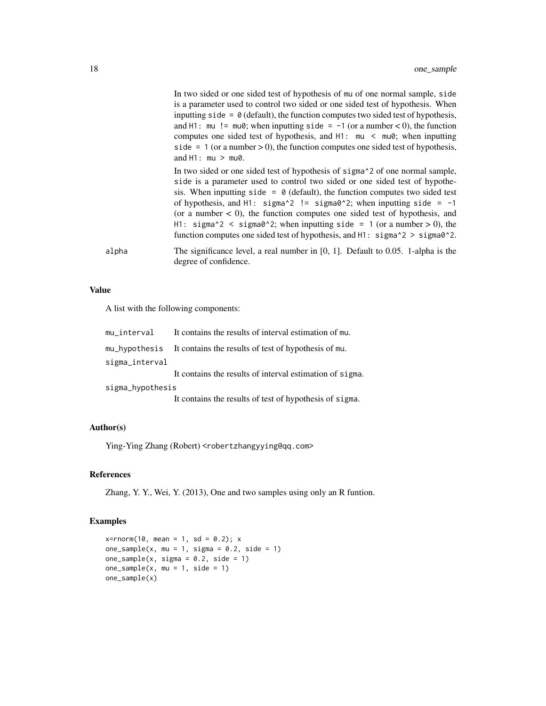|       | In two sided or one sided test of hypothesis of mu of one normal sample, side<br>is a parameter used to control two sided or one sided test of hypothesis. When<br>inputting side = $\theta$ (default), the function computes two sided test of hypothesis,<br>and H1: $mu$ != $mu\theta$ ; when inputting side = -1 (or a number < 0), the function<br>computes one sided test of hypothesis, and $H1:$ mu $\leq$ mu $\theta$ ; when inputting<br>side = $1$ (or a number > 0), the function computes one sided test of hypothesis,<br>and $H1:mu > mu0$ .                                                         |
|-------|---------------------------------------------------------------------------------------------------------------------------------------------------------------------------------------------------------------------------------------------------------------------------------------------------------------------------------------------------------------------------------------------------------------------------------------------------------------------------------------------------------------------------------------------------------------------------------------------------------------------|
|       | In two sided or one sided test of hypothesis of sigma <sup>2</sup> of one normal sample,<br>side is a parameter used to control two sided or one sided test of hypothe-<br>sis. When inputting side = $\theta$ (default), the function computes two sided test<br>of hypothesis, and H1: $signa^2$ != $signa^2$ : when inputting side = -1<br>(or a number $\lt 0$ ), the function computes one sided test of hypothesis, and<br>H1: sigma^2 < sigma0^2; when inputting side = 1 (or a number > 0), the<br>function computes one sided test of hypothesis, and $H1:$ sigma $\textdegree$ 2 > sigma $\textdegree$ 2. |
| alpha | The significance level, a real number in $[0, 1]$ . Default to 0.05. 1-alpha is the<br>degree of confidence.                                                                                                                                                                                                                                                                                                                                                                                                                                                                                                        |

# Value

A list with the following components:

| mu_interval      | It contains the results of interval estimation of mu.                            |
|------------------|----------------------------------------------------------------------------------|
|                  | mu <sub>rr</sub> hypothesis It contains the results of test of hypothesis of mu. |
| sigma_interval   |                                                                                  |
|                  | It contains the results of interval estimation of sigma.                         |
| sigma_hypothesis |                                                                                  |
|                  | It contains the results of test of hypothesis of sigma.                          |

#### Author(s)

Ying-Ying Zhang (Robert) <robertzhangyying@qq.com>

#### References

Zhang, Y. Y., Wei, Y. (2013), One and two samples using only an R funtion.

```
x = rnorm(10, mean = 1, sd = 0.2); xone_sample(x, mu = 1, sigma = 0.2, side = 1)
one\_sample(x, sigma = 0.2, side = 1)one\_sample(x, mu = 1, side = 1)one_sample(x)
```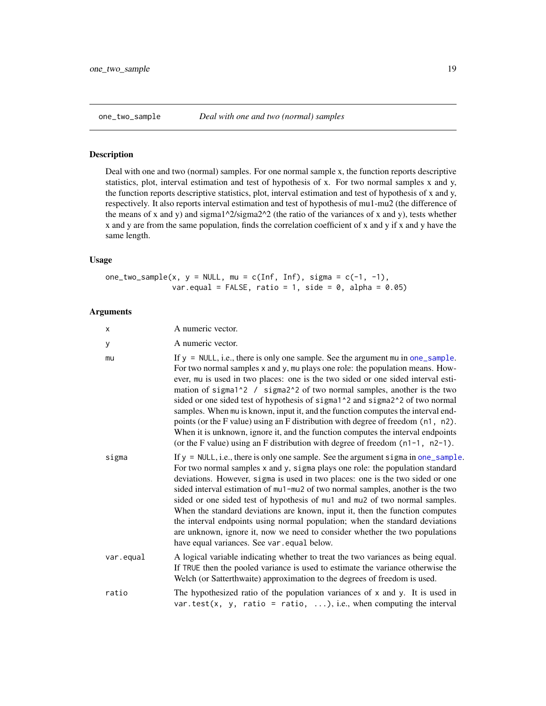#### <span id="page-18-0"></span>Description

Deal with one and two (normal) samples. For one normal sample x, the function reports descriptive statistics, plot, interval estimation and test of hypothesis of x. For two normal samples x and y, the function reports descriptive statistics, plot, interval estimation and test of hypothesis of x and y, respectively. It also reports interval estimation and test of hypothesis of mu1-mu2 (the difference of the means of x and y) and sigma1^2/sigma2^2 (the ratio of the variances of x and y), tests whether x and y are from the same population, finds the correlation coefficient of x and y if x and y have the same length.

# Usage

one\_two\_sample(x,  $y = NULL$ , mu = c(Inf, Inf), sigma = c(-1, -1), var.equal = FALSE, ratio = 1, side = 0, alpha =  $0.05$ )

#### Arguments

| X         | A numeric vector.                                                                                                                                                                                                                                                                                                                                                                                                                                                                                                                                                                                                                                                                                                                                                                                               |
|-----------|-----------------------------------------------------------------------------------------------------------------------------------------------------------------------------------------------------------------------------------------------------------------------------------------------------------------------------------------------------------------------------------------------------------------------------------------------------------------------------------------------------------------------------------------------------------------------------------------------------------------------------------------------------------------------------------------------------------------------------------------------------------------------------------------------------------------|
| у         | A numeric vector.                                                                                                                                                                                                                                                                                                                                                                                                                                                                                                                                                                                                                                                                                                                                                                                               |
| mu        | If $y = NULL$ , i.e., there is only one sample. See the argument mu in one_sample.<br>For two normal samples x and y, mu plays one role: the population means. How-<br>ever, mu is used in two places: one is the two sided or one sided interval esti-<br>mation of sigma <sup>1</sup> <sup>2</sup> / sigma <sup>2</sup> <sup>2</sup> of two normal samples, another is the two<br>sided or one sided test of hypothesis of sigma1^2 and sigma2^2 of two normal<br>samples. When mu is known, input it, and the function computes the interval end-<br>points (or the F value) using an F distribution with degree of freedom (n1, n2).<br>When it is unknown, ignore it, and the function computes the interval endpoints<br>(or the F value) using an F distribution with degree of freedom $(n1-1, n2-1)$ . |
| sigma     | If $y = NULL$ , i.e., there is only one sample. See the argument sigma in one_sample.<br>For two normal samples x and y, sigma plays one role: the population standard<br>deviations. However, sigma is used in two places: one is the two sided or one<br>sided interval estimation of mu1-mu2 of two normal samples, another is the two<br>sided or one sided test of hypothesis of mu1 and mu2 of two normal samples.<br>When the standard deviations are known, input it, then the function computes<br>the interval endpoints using normal population; when the standard deviations<br>are unknown, ignore it, now we need to consider whether the two populations<br>have equal variances. See var . equal below.                                                                                         |
| var.equal | A logical variable indicating whether to treat the two variances as being equal.<br>If TRUE then the pooled variance is used to estimate the variance otherwise the<br>Welch (or Satterthwaite) approximation to the degrees of freedom is used.                                                                                                                                                                                                                                                                                                                                                                                                                                                                                                                                                                |
| ratio     | The hypothesized ratio of the population variances of $x$ and $y$ . It is used in<br>var.test(x, y, ratio = ratio, ), i.e., when computing the interval                                                                                                                                                                                                                                                                                                                                                                                                                                                                                                                                                                                                                                                         |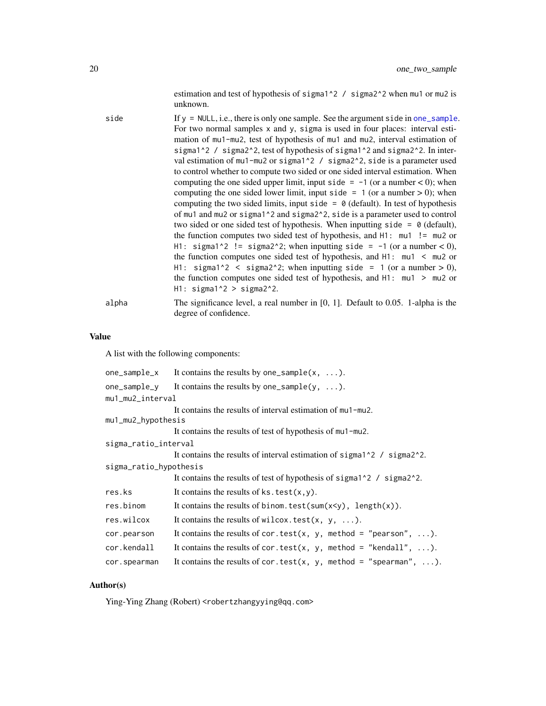estimation and test of hypothesis of sigma1^2 / sigma2^2 when mu1 or mu2 is unknown.

<span id="page-19-0"></span>

| side  | If $y = NULL$ , i.e., there is only one sample. See the argument side in one_sample.<br>For two normal samples x and y, sigma is used in four places: interval esti-<br>mation of mu1-mu2, test of hypothesis of mu1 and mu2, interval estimation of<br>sigma1^2 / sigma2^2, test of hypothesis of sigma1^2 and sigma2^2. In inter-<br>val estimation of mu1-mu2 or sigma $1^2$ / sigma $2^2$ , side is a parameter used<br>to control whether to compute two sided or one sided interval estimation. When<br>computing the one sided upper limit, input side $= -1$ (or a number < 0); when<br>computing the one sided lower limit, input side = $1$ (or a number > 0); when<br>computing the two sided limits, input side = $\theta$ (default). In test of hypothesis<br>of mu1 and mu2 or sigma1^2 and sigma2^2, side is a parameter used to control<br>two sided or one sided test of hypothesis. When inputting side = $\theta$ (default),<br>the function computes two sided test of hypothesis, and $H1$ : $mu1$ != $mu2$ or<br>H1: sigma1^2 != sigma2^2; when inputting side = $-1$ (or a number < 0), |
|-------|----------------------------------------------------------------------------------------------------------------------------------------------------------------------------------------------------------------------------------------------------------------------------------------------------------------------------------------------------------------------------------------------------------------------------------------------------------------------------------------------------------------------------------------------------------------------------------------------------------------------------------------------------------------------------------------------------------------------------------------------------------------------------------------------------------------------------------------------------------------------------------------------------------------------------------------------------------------------------------------------------------------------------------------------------------------------------------------------------------------|
|       | the function computes one sided test of hypothesis, and $H1:$ mul $\leq$ mul or<br>H1: sigma1^2 < sigma2^2; when inputting side = 1 (or a number > 0),<br>the function computes one sided test of hypothesis, and $H1:$ mul $>$ mul or<br>$H1:$ sigma1^2 > sigma2^2.                                                                                                                                                                                                                                                                                                                                                                                                                                                                                                                                                                                                                                                                                                                                                                                                                                           |
| alpha | The significance level, a real number in $[0, 1]$ . Default to 0.05. 1-alpha is the<br>degree of confidence.                                                                                                                                                                                                                                                                                                                                                                                                                                                                                                                                                                                                                                                                                                                                                                                                                                                                                                                                                                                                   |

#### Value

A list with the following components:

| one_sample_x           | It contains the results by one_sample( $x, \ldots$ ).                                                                     |
|------------------------|---------------------------------------------------------------------------------------------------------------------------|
|                        | one_sample_y It contains the results by one_sample(y, ).                                                                  |
| mu1_mu2_interval       |                                                                                                                           |
|                        | It contains the results of interval estimation of mu1-mu2.                                                                |
| mu1_mu2_hypothesis     |                                                                                                                           |
|                        | It contains the results of test of hypothesis of mu1-mu2.                                                                 |
| sigma_ratio_interval   |                                                                                                                           |
|                        | It contains the results of interval estimation of sigma <sup><math>1^2</math></sup> / sigma <sup><math>2^2</math></sup> . |
| sigma_ratio_hypothesis |                                                                                                                           |
|                        | It contains the results of test of hypothesis of sigma <sup>1</sup> <sup>2</sup> / sigma <sup>2</sup> <sup>2</sup> .      |
| res.ks                 | It contains the results of $ks.test(x,y)$ .                                                                               |
| res.binom              | It contains the results of binom. test(sum(x <y), length(x)).<="" td=""></y),>                                            |
| res.wilcox             | It contains the results of wilcox. test(x, y, ).                                                                          |
| cor.pearson            | It contains the results of cor.test(x, y, method = "pearson", ).                                                          |
| cor.kendall            | It contains the results of cor.test(x, y, method = "kendall", ).                                                          |
| cor.spearman           | It contains the results of cor.test(x, y, method = "spearman", ).                                                         |

# Author(s)

Ying-Ying Zhang (Robert) <robertzhangyying@qq.com>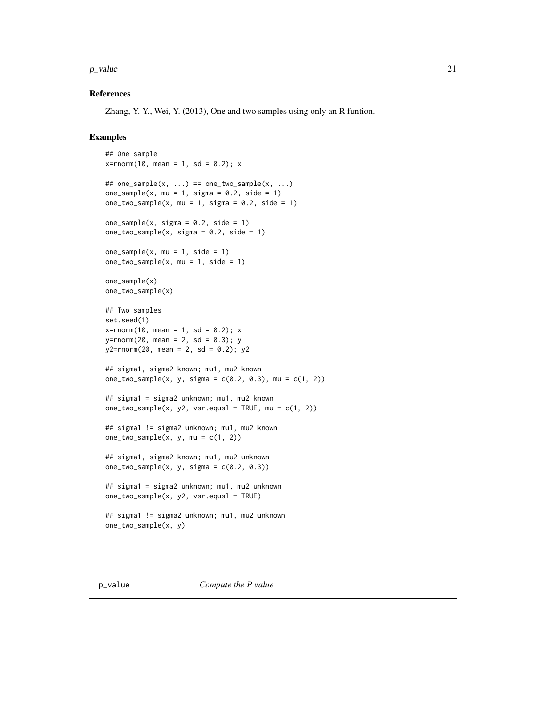#### <span id="page-20-0"></span> $p$ \_value 21

#### References

Zhang, Y. Y., Wei, Y. (2013), One and two samples using only an R funtion.

```
## One sample
x = rnorm(10, mean = 1, sd = 0.2); x## one_sample(x, \ldots) == one_two_sample(x, \ldots)
one_sample(x, mu = 1, sigma = 0.2, side = 1)
one_two_sample(x, mu = 1, sigma = 0.2, side = 1)
one_sample(x, sigma = 0.2, side = 1)
one_{two\_sample(x, sigma = 0.2, side = 1)}one_sample(x, mu = 1, side = 1)
one_{two\_sample(x, mu = 1, side = 1)}one_sample(x)
one_two_sample(x)
## Two samples
set.seed(1)
x = rnorm(10, mean = 1, sd = 0.2); xy=rnorm(20, mean = 2, sd = 0.3); y
y2=rnorm(20, mean = 2, sd = 0.2); y2## sigma1, sigma2 known; mu1, mu2 known
one_two_sample(x, y, sigma = c(0.2, 0.3), mu = c(1, 2))
## sigma1 = sigma2 unknown; mu1, mu2 known
one_two_sample(x, y2, var.equal = TRUE, mu = c(1, 2))
## sigma1 != sigma2 unknown; mu1, mu2 known
one_{two\_sample(x, y, mu = c(1, 2))}## sigma1, sigma2 known; mu1, mu2 unknown
one_{two\_sample(x, y, sigma = c(0.2, 0.3))}## sigma1 = sigma2 unknown; mu1, mu2 unknown
one_{two\_sample(x, y2, var.equals = TRUE)}## sigma1 != sigma2 unknown; mu1, mu2 unknown
one_two_sample(x, y)
```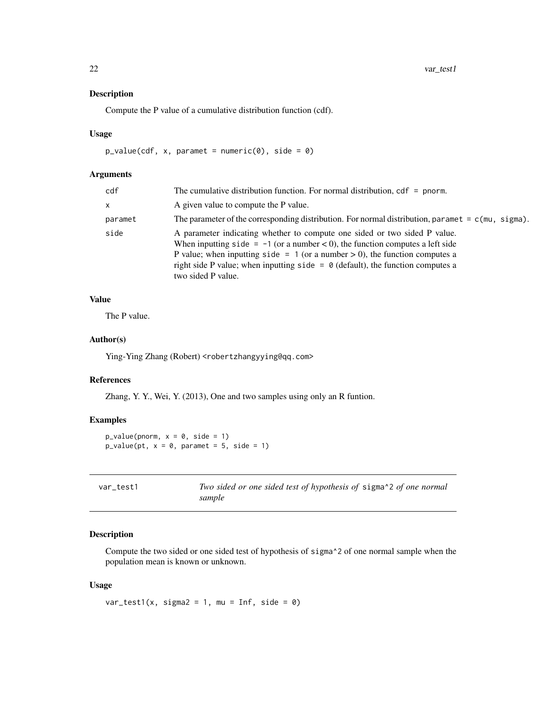#### <span id="page-21-0"></span>Description

Compute the P value of a cumulative distribution function (cdf).

#### Usage

 $p_value(cdf, x, parameter = numeric(0), side = 0)$ 

#### Arguments

| cdf     | The cumulative distribution function. For normal distribution, $cdf = pnorm$ .                                                                                                                                                                                                                                                                                |
|---------|---------------------------------------------------------------------------------------------------------------------------------------------------------------------------------------------------------------------------------------------------------------------------------------------------------------------------------------------------------------|
| x       | A given value to compute the P value.                                                                                                                                                                                                                                                                                                                         |
| paramet | The parameter of the corresponding distribution. For normal distribution, paramet $= c$ (mu, sigma).                                                                                                                                                                                                                                                          |
| side    | A parameter indicating whether to compute one sided or two sided P value.<br>When inputting side = $-1$ (or a number < 0), the function computes a left side<br>P value; when inputting side = 1 (or a number $> 0$ ), the function computes a<br>right side P value; when inputting side = $\theta$ (default), the function computes a<br>two sided P value. |

# Value

The P value.

#### Author(s)

Ying-Ying Zhang (Robert) <robertzhangyying@qq.com>

#### References

Zhang, Y. Y., Wei, Y. (2013), One and two samples using only an R funtion.

#### Examples

 $p_value(pnorm, x = 0, side = 1)$  $p_value(pt, x = 0, parameter = 5, side = 1)$ 

| var test1 | Two sided or one sided test of hypothesis of sigma^2 of one normal |
|-----------|--------------------------------------------------------------------|
|           | sample                                                             |

# Description

Compute the two sided or one sided test of hypothesis of sigma^2 of one normal sample when the population mean is known or unknown.

#### Usage

```
var_test1(x, sigma2 = 1, mu = Inf, side = 0)
```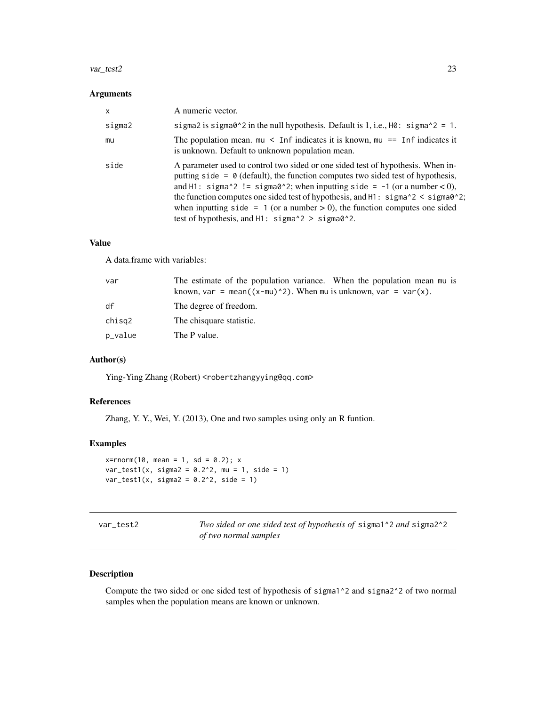#### <span id="page-22-0"></span>var\_test2 23

#### Arguments

| x      | A numeric vector.                                                                                                                                                                                                                                                                                                                                                                                                                                                                                                                                             |
|--------|---------------------------------------------------------------------------------------------------------------------------------------------------------------------------------------------------------------------------------------------------------------------------------------------------------------------------------------------------------------------------------------------------------------------------------------------------------------------------------------------------------------------------------------------------------------|
| sigma2 | sigma2 is sigma0^2 in the null hypothesis. Default is 1, i.e., $H0$ : sigma^2 = 1.                                                                                                                                                                                                                                                                                                                                                                                                                                                                            |
| mu     | The population mean. $mu <$ Inf indicates it is known, $mu ==$ Inf indicates it<br>is unknown. Default to unknown population mean.                                                                                                                                                                                                                                                                                                                                                                                                                            |
| side   | A parameter used to control two sided or one sided test of hypothesis. When in-<br>putting side = $\theta$ (default), the function computes two sided test of hypothesis,<br>and H1: sigma^2 != sigma0^2; when inputting side = $-1$ (or a number < 0),<br>the function computes one sided test of hypothesis, and H1: $\frac{\text{sigma}^2}{2}$ < $\frac{\text{sigma}^2}{2}$ ;<br>when inputting side = 1 (or a number $> 0$ ), the function computes one sided<br>test of hypothesis, and $H1:$ sigma $\textdegree$ 2 > sigma $\textdegree$ <sup>2</sup> . |

#### Value

A data.frame with variables:

| var     | The estimate of the population variance. When the population mean mu is<br>known, var = mean( $(x-mu)^2$ ). When mu is unknown, var = var(x). |
|---------|-----------------------------------------------------------------------------------------------------------------------------------------------|
| df      | The degree of freedom.                                                                                                                        |
| chisg2  | The chisquare statistic.                                                                                                                      |
| p_value | The P value.                                                                                                                                  |

# Author(s)

Ying-Ying Zhang (Robert) <robertzhangyying@qq.com>

# References

Zhang, Y. Y., Wei, Y. (2013), One and two samples using only an R funtion.

#### Examples

```
x=rnorm(10, mean = 1, sd = 0.2); x
var_test1(x, sigma2 = 0.2^2, mu = 1, side = 1)var_test1(x, sigma2 = 0.2^2, side = 1)
```

| var test2 |
|-----------|
|-----------|

Two sided or one sided test of hypothesis of sigma1^2 *and* sigma2^2 *of two normal samples*

#### Description

Compute the two sided or one sided test of hypothesis of sigma1^2 and sigma2^2 of two normal samples when the population means are known or unknown.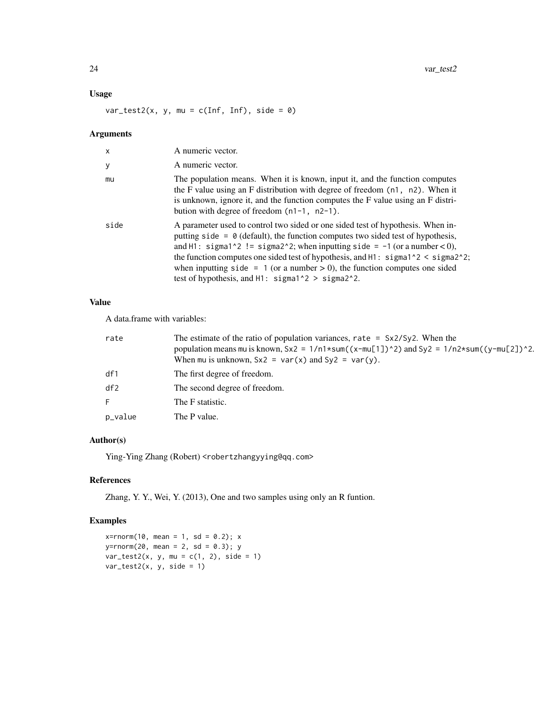# Usage

 $var_test2(x, y, mu = c(Inf, Inf), side = 0)$ 

# Arguments

| $\mathsf{x}$ | A numeric vector.                                                                                                                                                                                                                                                                                                                                                                                                                                                                                                                               |
|--------------|-------------------------------------------------------------------------------------------------------------------------------------------------------------------------------------------------------------------------------------------------------------------------------------------------------------------------------------------------------------------------------------------------------------------------------------------------------------------------------------------------------------------------------------------------|
| y            | A numeric vector.                                                                                                                                                                                                                                                                                                                                                                                                                                                                                                                               |
| mu           | The population means. When it is known, input it, and the function computes<br>the F value using an F distribution with degree of freedom $(n1, n2)$ . When it<br>is unknown, ignore it, and the function computes the F value using an F distri-<br>bution with degree of freedom $(n1-1, n2-1)$ .                                                                                                                                                                                                                                             |
| side         | A parameter used to control two sided or one sided test of hypothesis. When in-<br>putting side = $\theta$ (default), the function computes two sided test of hypothesis,<br>and H1: sigma1^2 != sigma2^2; when inputting side = $-1$ (or a number < 0),<br>the function computes one sided test of hypothesis, and $H1$ : sigma <sup>1</sup> $\alpha$ < sigma <sup>2<math>\alpha</math></sup> 2;<br>when inputting side = 1 (or a number $> 0$ ), the function computes one sided<br>test of hypothesis, and $H1:$ sigma $1^2 >$ sigma $2^2$ . |

#### Value

A data.frame with variables:

| rate    | The estimate of the ratio of population variances, rate = $Sx2/Sy2$ . When the<br>population means mu is known, $Sx2 = 1/n1*sum((x-mu[1])^2)$ and $Sy2 = 1/n2*sum((y-mu[2])^2)$ .<br>When mu is unknown, $Sx2 = var(x)$ and $Sy2 = var(y)$ . |
|---------|----------------------------------------------------------------------------------------------------------------------------------------------------------------------------------------------------------------------------------------------|
| df1     | The first degree of freedom.                                                                                                                                                                                                                 |
| df2     | The second degree of freedom.                                                                                                                                                                                                                |
| F.      | The F statistic.                                                                                                                                                                                                                             |
| p_value | The P value.                                                                                                                                                                                                                                 |

# Author(s)

Ying-Ying Zhang (Robert) <robertzhangyying@qq.com>

# References

Zhang, Y. Y., Wei, Y. (2013), One and two samples using only an R funtion.

#### Examples

 $x = rnorm(10, mean = 1, sd = 0.2); x$  $y=$ rnorm(20, mean = 2, sd = 0.3); y  $var_test2(x, y, mu = c(1, 2), side = 1)$  $var_test2(x, y, side = 1)$